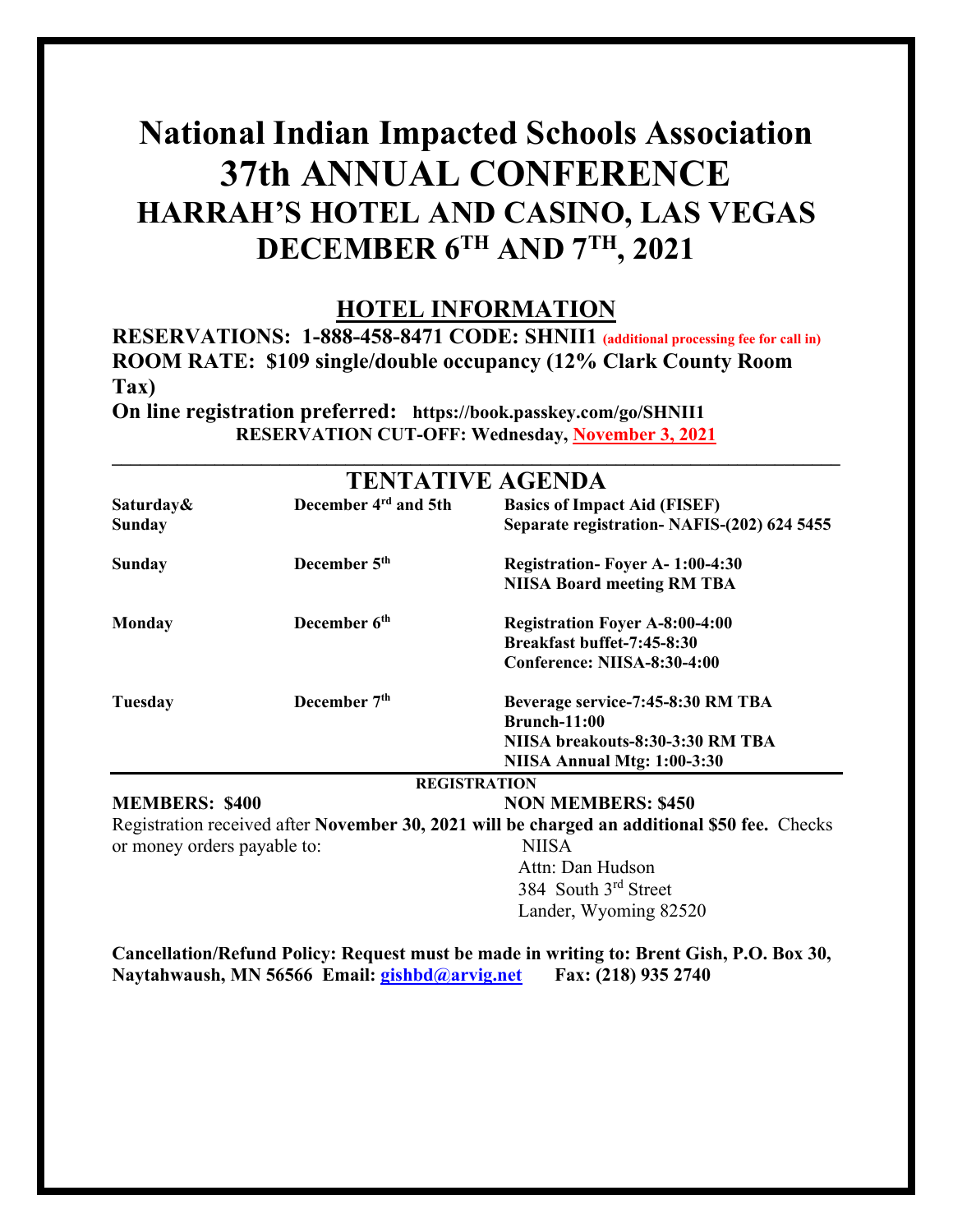### **National Indian Impacted Schools Association 37th ANNUAL CONFERENCE HARRAH'S HOTEL AND CASINO, LAS VEGAS DECEMBER 6TH AND 7TH, 2021**

#### **HOTEL INFORMATION**

**RESERVATIONS: 1-888-458-8471 CODE: SHNII1 (additional processing fee for call in) ROOM RATE: \$109 single/double occupancy (12% Clark County Room Tax)**

**On line registration preferred: https://book.passkey.com/go/SHNII1 RESERVATION CUT-OFF: Wednesday, November 3, 2021**

|                             |                                  | <b>TENTATIVE AGENDA</b>                                                                                                     |
|-----------------------------|----------------------------------|-----------------------------------------------------------------------------------------------------------------------------|
| Saturday&<br><b>Sunday</b>  | December 4 <sup>rd</sup> and 5th | <b>Basics of Impact Aid (FISEF)</b><br>Separate registration- NAFIS-(202) 624 5455                                          |
| Sunday                      | December 5 <sup>th</sup>         | <b>Registration-Foyer A-1:00-4:30</b><br><b>NIISA Board meeting RM TBA</b>                                                  |
| <b>Monday</b>               | December 6 <sup>th</sup>         | <b>Registration Foyer A-8:00-4:00</b><br>Breakfast buffet-7:45-8:30<br>Conference: NIISA-8:30-4:00                          |
| <b>Tuesday</b>              | December 7 <sup>th</sup>         | Beverage service-7:45-8:30 RM TBA<br><b>Brunch-11:00</b><br>NIISA breakouts-8:30-3:30 RM TBA<br>NIISA Annual Mtg: 1:00-3:30 |
|                             |                                  | <b>REGISTRATION</b>                                                                                                         |
| <b>MEMBERS: \$400</b>       |                                  | <b>NON MEMBERS: \$450</b>                                                                                                   |
|                             |                                  | Registration received after November 30, 2021 will be charged an additional \$50 fee. Checks                                |
| or money orders payable to: |                                  | <b>NIISA</b><br>Attn: Dan Hudson<br>384 South 3rd Street<br>Lander, Wyoming 82520                                           |

**Cancellation/Refund Policy: Request must be made in writing to: Brent Gish, P.O. Box 30, Naytahwaush, MN 56566 Email: [gishbd@arvig.net](mailto:gishbd@arvig.net) Fax: (218) 935 2740**